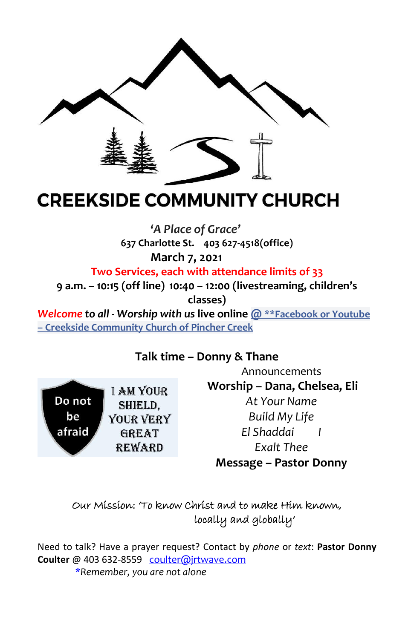

# **CREEKSIDE COMMUNITY CHURCH**

**'***A Place of Grace'* **637 Charlotte St. 403 627-4518(office) March 7, 2021** 

**Two Services, each with attendance limits of 33**

**9 a.m. – 10:15 (off line) 10:40 – 12:00 (livestreaming, children's classes)**

*Welcome to all - Worship with us* **live online @ \*\*Facebook or Youtube – Creekside Community Church of Pincher Creek**

## **Talk time – Donny & Thane**

**I AM YOUR** Do not SHIELD. be YOUR VERY afraid **GREAT REWARD** 

Announcements **Worship – Dana, Chelsea, Eli** *At Your Name Build My Life El Shaddai I Exalt Thee* **Message – Pastor Donny**

## Our Mission: 'To know Christ and to make Him known, locally and globally'

Need to talk? Have a prayer request? Contact by *phone* or *text*: **Pastor Donny** Coulter @ 403 632-8559 coulter@jrtwave.com \**Remember, you are not alone*